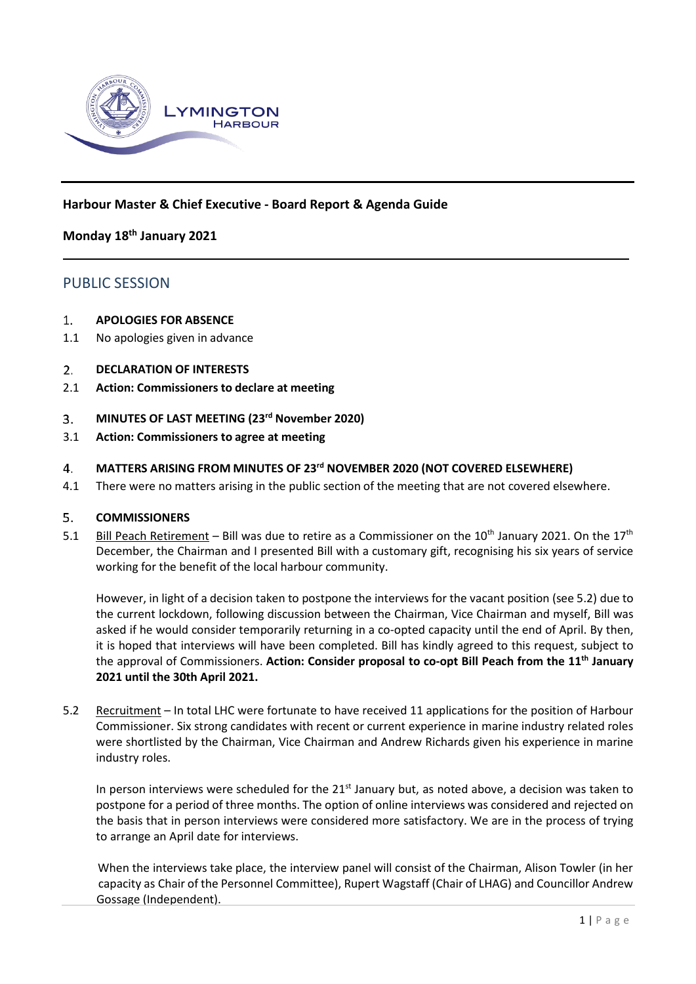

# **Harbour Master & Chief Executive - Board Report & Agenda Guide**

# **Monday 18th January 2021**

# PUBLIC SESSION

#### $1.$ **APOLOGIES FOR ABSENCE**

- 1.1 No apologies given in advance
- **DECLARATION OF INTERESTS**  $2.$
- 2.1 **Action: Commissioners to declare at meeting**

#### **MINUTES OF LAST MEETING (23rd November 2020)**  $3.$

3.1 **Action: Commissioners to agree at meeting**

# **MATTERS ARISING FROM MINUTES OF 23rd NOVEMBER 2020 (NOT COVERED ELSEWHERE)**  $\overline{4}$ .

4.1 There were no matters arising in the public section of the meeting that are not covered elsewhere.

#### 5. **COMMISSIONERS**

5.1 Bill Peach Retirement – Bill was due to retire as a Commissioner on the 10<sup>th</sup> January 2021. On the 17<sup>th</sup> December, the Chairman and I presented Bill with a customary gift, recognising his six years of service working for the benefit of the local harbour community.

However, in light of a decision taken to postpone the interviews for the vacant position (see 5.2) due to the current lockdown, following discussion between the Chairman, Vice Chairman and myself, Bill was asked if he would consider temporarily returning in a co-opted capacity until the end of April. By then, it is hoped that interviews will have been completed. Bill has kindly agreed to this request, subject to the approval of Commissioners. **Action: Consider proposal to co-opt Bill Peach from the 11th January 2021 until the 30th April 2021.**

5.2 Recruitment – In total LHC were fortunate to have received 11 applications for the position of Harbour Commissioner. Six strong candidates with recent or current experience in marine industry related roles were shortlisted by the Chairman, Vice Chairman and Andrew Richards given his experience in marine industry roles.

In person interviews were scheduled for the 21<sup>st</sup> January but, as noted above, a decision was taken to postpone for a period of three months. The option of online interviews was considered and rejected on the basis that in person interviews were considered more satisfactory. We are in the process of trying to arrange an April date for interviews.

When the interviews take place, the interview panel will consist of the Chairman, Alison Towler (in her capacity as Chair of the Personnel Committee), Rupert Wagstaff (Chair of LHAG) and Councillor Andrew Gossage (Independent).